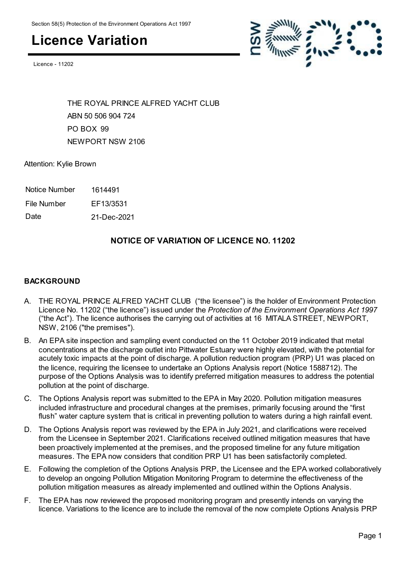Licence - 11202



THE ROYAL PRINCE ALFRED YACHT CLUB ABN 50 506 904 724 PO BOX 99 NEWPORT NSW 2106

Attention: Kylie Brown

| Notice Number | 1614491 |
|---------------|---------|
|---------------|---------|

File Number EF13/3531

Date 21-Dec-2021

#### **NOTICE OF VARIATION OF LICENCE NO. 11202**

#### **BACKGROUND**

- A. THE ROYAL PRINCE ALFRED YACHT CLUB ("the licensee") is the holder of Environment Protection Licence No. 11202 ("the licence") issued under the *Protection of the Environment Operations Act 1997* ("the Act"). The licence authorises the carrying out of activities at 16 MITALA STREET, NEWPORT, NSW, 2106 ("the premises").
- B. An EPA site inspection and sampling event conducted on the 11 October 2019 indicated that metal concentrations at the discharge outlet into Pittwater Estuary were highly elevated, with the potential for acutely toxic impacts at the point of discharge. A pollution reduction program (PRP) U1 was placed on the licence, requiring the licensee to undertake an Options Analysis report (Notice 1588712). The purpose of the Options Analysis was to identify preferred mitigation measures to address the potential pollution at the point of discharge.
- C. The Options Analysis report was submitted to the EPA in May 2020. Pollution mitigation measures included infrastructure and procedural changes at the premises, primarily focusing around the "first flush" water capture system that is critical in preventing pollution to waters during a high rainfall event.
- D. The Options Analysis report was reviewed by the EPA in July 2021, and clarifications were received from the Licensee in September 2021. Clarifications received outlined mitigation measures that have been proactively implemented at the premises, and the proposed timeline for any future mitigation measures. The EPA now considers that condition PRP U1 has been satisfactorily completed.
- E. Following the completion of the Options Analysis PRP, the Licensee and the EPA worked collaboratively to develop an ongoing Pollution Mitigation Monitoring Program to determine the effectiveness of the pollution mitigation measures as already implemented and outlined within the Options Analysis.
- F. The EPA has now reviewed the proposed monitoring program and presently intends on varying the licence. Variations to the licence are to include the removal of the now complete Options Analysis PRP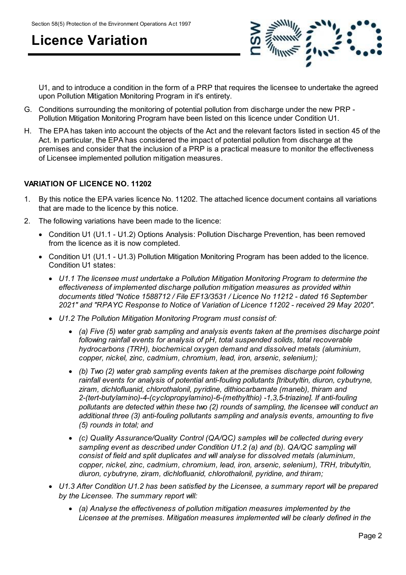

U1, and to introduce a condition in the form of a PRP that requires the licensee to undertake the agreed upon Pollution Mitigation Monitoring Program in it's entirety.

- G. Conditions surrounding the monitoring of potential pollution from discharge under the new PRP Pollution Mitigation Monitoring Program have been listed on this licence under Condition U1.
- H. The EPA has taken into account the objects of the Act and the relevant factors listed in section 45 of the Act. In particular, the EPA has considered the impact of potential pollution from discharge at the premises and consider that the inclusion of a PRP is a practical measure to monitor the effectiveness of Licensee implemented pollution mitigation measures.

#### **VARIATION OF LICENCE NO. 11202**

- 1. By this notice the EPA varies licence No. 11202. The attached licence document contains all variations that are made to the licence by this notice.
- 2. The following variations have been made to the licence:
	- Condition U1 (U1.1 U1.2) Options Analysis: Pollution Discharge Prevention, has been removed from the licence as it is now completed.
	- Condition U1 (U1.1 U1.3) Pollution Mitigation Monitoring Program has been added to the licence. Condition U1 states:
		- *U1.1 The licensee must undertake a Pollution Mitigation Monitoring Program to determine the effectiveness of implemented discharge pollution mitigation measures as provided within documents titled "Notice 1588712 / File EF13/3531 / Licence No 11212 - dated 16 September 2021" and "RPAYC Response to Notice of Variation of Licence 11202 - received 29 May 2020".*
		- *U1.2 The Pollution Mitigation Monitoring Program must consist of:*
			- *(a) Five (5) water grab sampling and analysis events taken at the premises discharge point following rainfall events for analysis of pH, total suspended solids, total recoverable hydrocarbons (TRH), biochemical oxygen demand and dissolved metals (aluminium, copper, nickel, zinc, cadmium, chromium, lead, iron, arsenic, selenium);*
			- *(b) Two (2) water grab sampling events taken at the premises discharge point following rainfall events for analysis of potential anti-fouling pollutants [tributyltin, diuron, cybutryne, ziram, dichlofluanid, chlorothalonil, pyridine, dithiocarbamate (maneb), thiram and 2-(tert-butylamino)-4-(cyclopropylamino)-6-(methylthio) -1,3,5-triazine]. If anti-fouling pollutants are detected within these two (2) rounds of sampling, the licensee will conduct an additional three (3) anti-fouling pollutants sampling and analysis events, amounting to five (5) rounds in total; and*
			- *(c) Quality Assurance/Quality Control (QA/QC) samples will be collected during every sampling event as described under Condition U1.2 (a) and (b). QA/QC sampling will consist of field and split duplicates and will analyse for dissolved metals (aluminium, copper, nickel, zinc, cadmium, chromium, lead, iron, arsenic, selenium), TRH, tributyltin, diuron, cybutryne, ziram, dichlofluanid, chlorothalonil, pyridine, and thiram;*
		- *U1.3 After Condition U1.2 has been satisfied by the Licensee, a summary report will be prepared by the Licensee. The summary report will:*
			- *(a) Analyse the effectiveness of pollution mitigation measures implemented by the Licensee at the premises. Mitigation measures implemented will be clearly defined in the*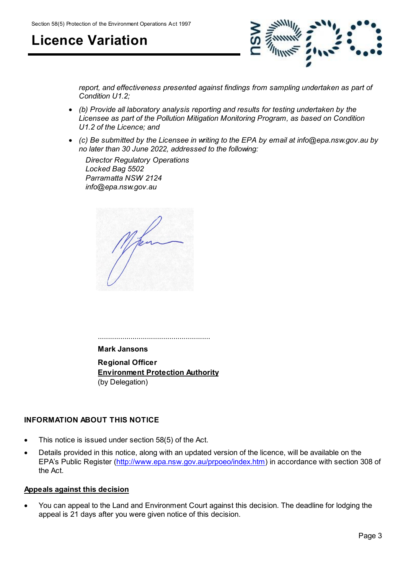

*report, and effectiveness presented against findings from sampling undertaken as part of Condition U1.2;*

- *(b) Provide all laboratory analysis reporting and results for testing undertaken by the Licensee as part of the Pollution Mitigation Monitoring Program, as based on Condition U1.2 of the Licence; and*
- *(c) Be submitted by the Licensee in writing to the EPA by email at info@epa.nsw.gov.au by no later than 30 June 2022, addressed to the following:*

 *Director Regulatory Operations Locked Bag 5502 Parramatta NSW 2124 info@epa.nsw.gov.au*

.......................................................

**Mark Jansons**

**Regional Officer Environment Protection Authority** (by Delegation)

#### **INFORMATION ABOUT THIS NOTICE**

- This notice is issued under section 58(5) of the Act.
- Details provided in this notice, along with an updated version of the licence, will be available on the EPA's Public Register [\(http://www.epa.nsw.gov.au/prpoeo/index.htm](http://www.environment.nsw.gov.au/prpoeo/index.htm)) in accordance with section 308 of the Act.

#### **Appeals against this decision**

 You can appeal to the Land and Environment Court against this decision. The deadline for lodging the appeal is 21 days after you were given notice of this decision.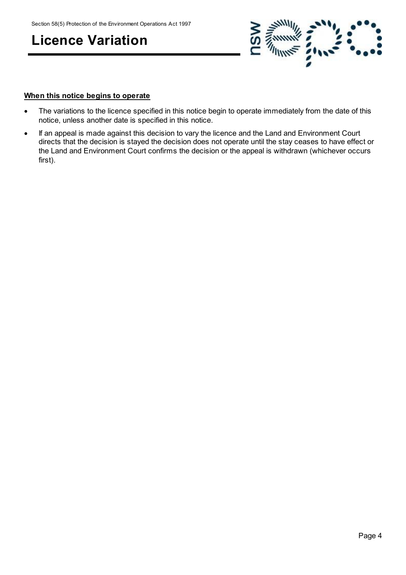

#### **When this notice begins to operate**

- The variations to the licence specified in this notice begin to operate immediately from the date of this notice, unless another date is specified in this notice.
- If an appeal is made against this decision to vary the licence and the Land and Environment Court directs that the decision is stayed the decision does not operate until the stay ceases to have effect or the Land and Environment Court confirms the decision or the appeal is withdrawn (whichever occurs first).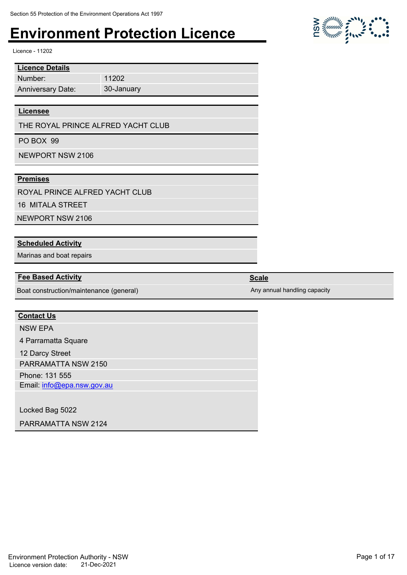11202 30-January

Licence - 11202

| <b>Licence Details</b>   |
|--------------------------|
| Number:                  |
| <b>Anniversary Date:</b> |

#### **Licensee**

THE ROYAL PRINCE ALFRED YACHT CLUB

PO BOX 99

NEWPORT NSW 2106

#### **Premises**

ROYAL PRINCE ALFRED YACHT CLUB

16 MITALA STREET

NEWPORT NSW 2106

#### **Scheduled Activity**

Marinas and boat repairs

#### **Fee Based Activity Scale**

Boat construction/maintenance (general) Any annual handling capacity

#### **Contact Us**

NSW EPA

4 Parramatta Square

12 Darcy Street

PARRAMATTA NSW 2150

Phone: 131 555

Email: info@epa.nsw.gov.au

Locked Bag 5022

PARRAMATTA NSW 2124

 $\sum_{i=1}^{n} \sum_{j=1}^{n} \frac{1}{j} \sum_{j=1}^{n} \sum_{j=1}^{n} \sum_{k=1}^{n} \sum_{j=1}^{n} \sum_{k=1}^{n} \sum_{k=1}^{n} \sum_{k=1}^{n} \sum_{k=1}^{n} \sum_{k=1}^{n} \sum_{k=1}^{n} \sum_{k=1}^{n} \sum_{k=1}^{n} \sum_{k=1}^{n} \sum_{k=1}^{n} \sum_{k=1}^{n} \sum_{k=1}^{n} \sum_{k=1}^{n} \sum_{k=1}^{n} \sum_{k=1}^{n} \sum_{$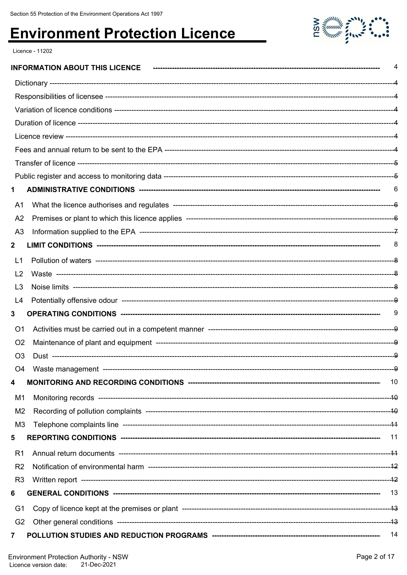

Licence - 11202

|                |                       | 4  |
|----------------|-----------------------|----|
|                |                       |    |
|                |                       |    |
|                |                       |    |
|                |                       |    |
|                |                       |    |
|                |                       |    |
|                |                       |    |
|                |                       |    |
| 1              |                       |    |
| A1             |                       |    |
| A <sub>2</sub> |                       |    |
| A <sub>3</sub> |                       |    |
| $\mathbf{2}$   |                       | 8  |
| L1             |                       |    |
| L <sub>2</sub> |                       |    |
| L3             |                       |    |
| L4             |                       |    |
| 3              |                       | 9  |
| O <sub>1</sub> |                       |    |
| O <sub>2</sub> |                       |    |
| O <sub>3</sub> |                       |    |
|                | O4 Waste management - | Ω  |
| 4              |                       | 10 |
| M1             |                       |    |
| M <sub>2</sub> |                       |    |
| M3             |                       |    |
| 5              |                       | 11 |
| R <sub>1</sub> |                       |    |
| R <sub>2</sub> |                       |    |
| R <sub>3</sub> |                       |    |
| 6              |                       |    |
| G <sub>1</sub> |                       |    |
| G <sub>2</sub> |                       |    |
| 7              |                       |    |
|                |                       |    |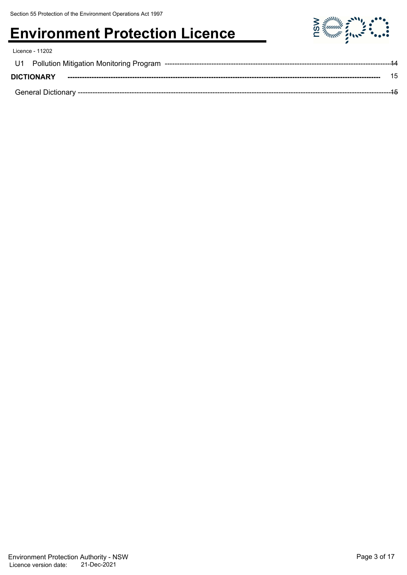| Licence - 11202   |       |
|-------------------|-------|
|                   | $-14$ |
| <b>DICTIONARY</b> | 15    |
|                   | $-15$ |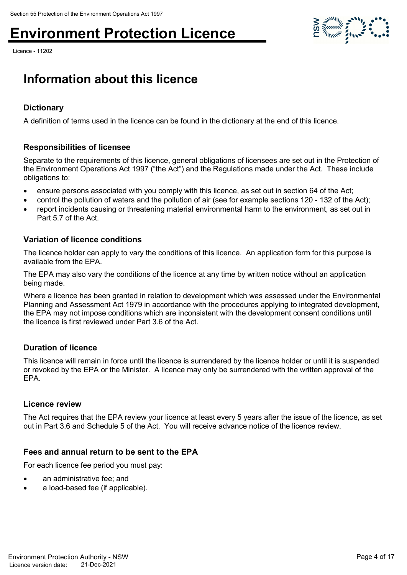Licence - 11202



### **Information about this licence**

#### **Dictionary**

A definition of terms used in the licence can be found in the dictionary at the end of this licence.

#### **Responsibilities of licensee**

Separate to the requirements of this licence, general obligations of licensees are set out in the Protection of the Environment Operations Act 1997 ("the Act") and the Regulations made under the Act. These include obligations to:

- ensure persons associated with you comply with this licence, as set out in section 64 of the Act;
- control the pollution of waters and the pollution of air (see for example sections 120 132 of the Act);
- report incidents causing or threatening material environmental harm to the environment, as set out in Part 5.7 of the Act.

#### **Variation of licence conditions**

The licence holder can apply to vary the conditions of this licence. An application form for this purpose is available from the EPA.

The EPA may also vary the conditions of the licence at any time by written notice without an application being made.

Where a licence has been granted in relation to development which was assessed under the Environmental Planning and Assessment Act 1979 in accordance with the procedures applying to integrated development, the EPA may not impose conditions which are inconsistent with the development consent conditions until the licence is first reviewed under Part 3.6 of the Act.

#### **Duration of licence**

This licence will remain in force until the licence is surrendered by the licence holder or until it is suspended or revoked by the EPA or the Minister. A licence may only be surrendered with the written approval of the EPA.

#### **Licence review**

The Act requires that the EPA review your licence at least every 5 years after the issue of the licence, as set out in Part 3.6 and Schedule 5 of the Act. You will receive advance notice of the licence review.

#### **Fees and annual return to be sent to the EPA**

For each licence fee period you must pay:

- an administrative fee; and
- a load-based fee (if applicable).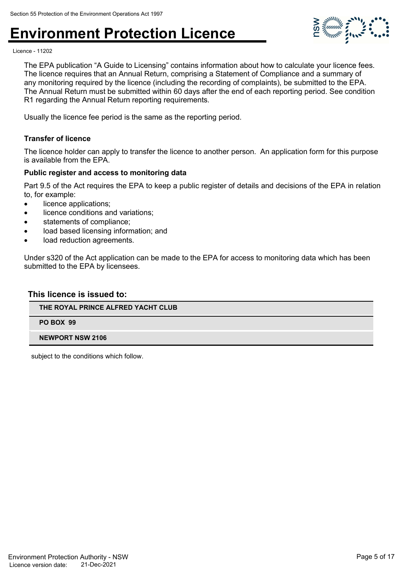

Licence - 11202

The EPA publication "A Guide to Licensing" contains information about how to calculate your licence fees. The licence requires that an Annual Return, comprising a Statement of Compliance and a summary of any monitoring required by the licence (including the recording of complaints), be submitted to the EPA. The Annual Return must be submitted within 60 days after the end of each reporting period. See condition R1 regarding the Annual Return reporting requirements.

Usually the licence fee period is the same as the reporting period.

#### **Transfer of licence**

The licence holder can apply to transfer the licence to another person. An application form for this purpose is available from the EPA.

#### **Public register and access to monitoring data**

Part 9.5 of the Act requires the EPA to keep a public register of details and decisions of the EPA in relation to, for example:

- licence applications:
- licence conditions and variations;
- statements of compliance;
- load based licensing information; and
- load reduction agreements.

Under s320 of the Act application can be made to the EPA for access to monitoring data which has been submitted to the EPA by licensees.

#### **This licence is issued to:**

#### **THE ROYAL PRINCE ALFRED YACHT CLUB**

**PO BOX 99**

#### **NEWPORT NSW 2106**

subject to the conditions which follow.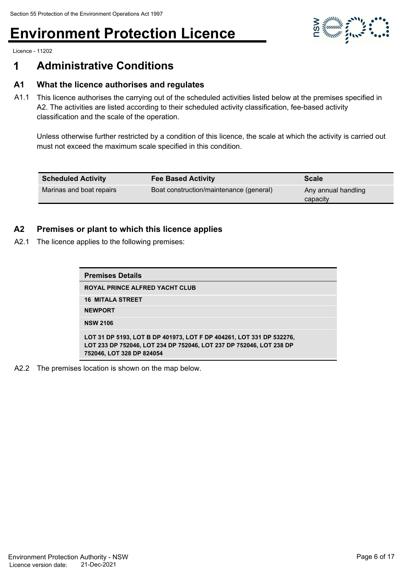

Licence - 11202

### **1 Administrative Conditions**

#### **A1 What the licence authorises and regulates**

A1.1 This licence authorises the carrying out of the scheduled activities listed below at the premises specified in A2. The activities are listed according to their scheduled activity classification, fee-based activity classification and the scale of the operation.

Unless otherwise further restricted by a condition of this licence, the scale at which the activity is carried out must not exceed the maximum scale specified in this condition.

| <b>Scheduled Activity</b> | <b>Fee Based Activity</b>               | <b>Scale</b> |
|---------------------------|-----------------------------------------|--------------|
| Marinas and boat repairs  | Boat construction/maintenance (general) |              |
|                           |                                         | capacity     |

#### **A2 Premises or plant to which this licence applies**

A2.1 The licence applies to the following premises:

| <b>Premises Details</b>                                                                                                                                                  |
|--------------------------------------------------------------------------------------------------------------------------------------------------------------------------|
| <b>ROYAL PRINCE ALFRED YACHT CLUB</b>                                                                                                                                    |
| <b>16 MITALA STREET</b>                                                                                                                                                  |
| <b>NEWPORT</b>                                                                                                                                                           |
| <b>NSW 2106</b>                                                                                                                                                          |
| LOT 31 DP 5193, LOT B DP 401973, LOT F DP 404261, LOT 331 DP 532276,<br>LOT 233 DP 752046, LOT 234 DP 752046, LOT 237 DP 752046, LOT 238 DP<br>752046, LOT 328 DP 824054 |

A2.2 The premises location is shown on the map below.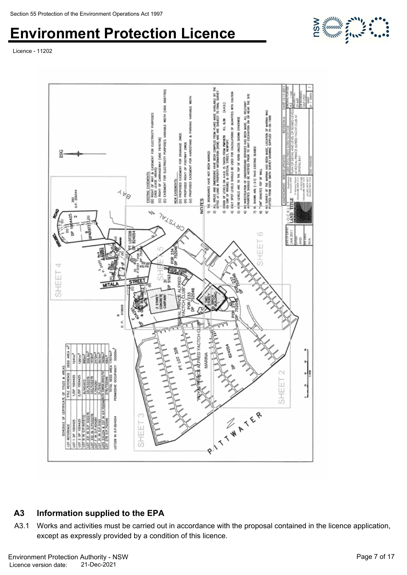Licence - 11202



### **A3 Information supplied to the EPA**

A3.1 Works and activities must be carried out in accordance with the proposal contained in the licence application, except as expressly provided by a condition of this licence.

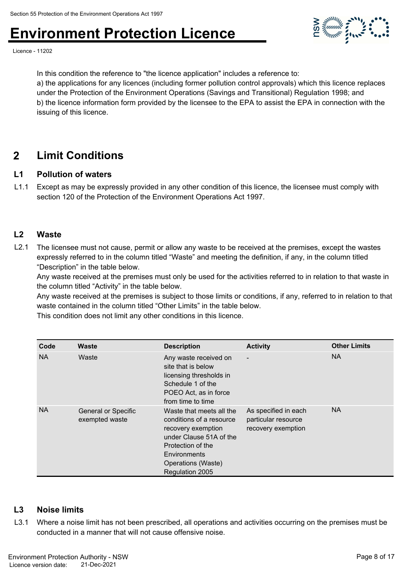

Licence - 11202

In this condition the reference to "the licence application" includes a reference to:

a) the applications for any licences (including former pollution control approvals) which this licence replaces under the Protection of the Environment Operations (Savings and Transitional) Regulation 1998; and b) the licence information form provided by the licensee to the EPA to assist the EPA in connection with the issuing of this licence.

### **2 Limit Conditions**

#### **L1 Pollution of waters**

L1.1 Except as may be expressly provided in any other condition of this licence, the licensee must comply with section 120 of the Protection of the Environment Operations Act 1997.

#### **L2 Waste**

L2.1 The licensee must not cause, permit or allow any waste to be received at the premises, except the wastes expressly referred to in the column titled "Waste" and meeting the definition, if any, in the column titled "Description" in the table below.

Any waste received at the premises must only be used for the activities referred to in relation to that waste in the column titled "Activity" in the table below.

Any waste received at the premises is subject to those limits or conditions, if any, referred to in relation to that waste contained in the column titled "Other Limits" in the table below.

This condition does not limit any other conditions in this licence.

| Code      | <b>Waste</b>                                 | <b>Description</b>                                                                                                                                                                  | <b>Activity</b>                                                   | <b>Other Limits</b> |
|-----------|----------------------------------------------|-------------------------------------------------------------------------------------------------------------------------------------------------------------------------------------|-------------------------------------------------------------------|---------------------|
| <b>NA</b> | Waste                                        | Any waste received on<br>site that is below<br>licensing thresholds in<br>Schedule 1 of the<br>POEO Act, as in force<br>from time to time                                           | $\overline{\phantom{a}}$                                          | <b>NA</b>           |
| <b>NA</b> | <b>General or Specific</b><br>exempted waste | Waste that meets all the<br>conditions of a resource<br>recovery exemption<br>under Clause 51A of the<br>Protection of the<br>Environments<br>Operations (Waste)<br>Regulation 2005 | As specified in each<br>particular resource<br>recovery exemption | <b>NA</b>           |

#### **L3 Noise limits**

L3.1 Where a noise limit has not been prescribed, all operations and activities occurring on the premises must be conducted in a manner that will not cause offensive noise.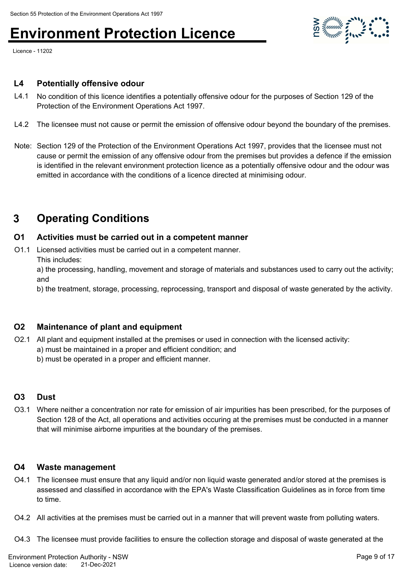

#### **L4 Potentially offensive odour**

- L4.1 No condition of this licence identifies a potentially offensive odour for the purposes of Section 129 of the Protection of the Environment Operations Act 1997.
- L4.2 The licensee must not cause or permit the emission of offensive odour beyond the boundary of the premises.
- Note: Section 129 of the Protection of the Environment Operations Act 1997, provides that the licensee must not cause or permit the emission of any offensive odour from the premises but provides a defence if the emission is identified in the relevant environment protection licence as a potentially offensive odour and the odour was emitted in accordance with the conditions of a licence directed at minimising odour.

### **3 Operating Conditions**

#### **O1 Activities must be carried out in a competent manner**

O1.1 Licensed activities must be carried out in a competent manner.

This includes:

a) the processing, handling, movement and storage of materials and substances used to carry out the activity; and

b) the treatment, storage, processing, reprocessing, transport and disposal of waste generated by the activity.

#### **O2 Maintenance of plant and equipment**

- O2.1 All plant and equipment installed at the premises or used in connection with the licensed activity:
	- a) must be maintained in a proper and efficient condition; and

b) must be operated in a proper and efficient manner.

#### **O3 Dust**

O3.1 Where neither a concentration nor rate for emission of air impurities has been prescribed, for the purposes of Section 128 of the Act, all operations and activities occuring at the premises must be conducted in a manner that will minimise airborne impurities at the boundary of the premises.

#### **O4 Waste management**

- O4.1 The licensee must ensure that any liquid and/or non liquid waste generated and/or stored at the premises is assessed and classified in accordance with the EPA's Waste Classification Guidelines as in force from time to time.
- O4.2 All activities at the premises must be carried out in a manner that will prevent waste from polluting waters.
- O4.3 The licensee must provide facilities to ensure the collection storage and disposal of waste generated at the

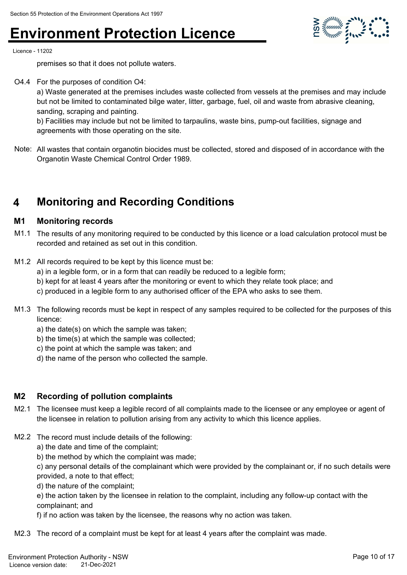

Licence - 11202

premises so that it does not pollute waters.

O4.4 For the purposes of condition O4:

a) Waste generated at the premises includes waste collected from vessels at the premises and may include but not be limited to contaminated bilge water, litter, garbage, fuel, oil and waste from abrasive cleaning, sanding, scraping and painting.

b) Facilities may include but not be limited to tarpaulins, waste bins, pump-out facilities, signage and agreements with those operating on the site.

Note: All wastes that contain organotin biocides must be collected, stored and disposed of in accordance with the Organotin Waste Chemical Control Order 1989.

### **4 Monitoring and Recording Conditions**

#### **M1 Monitoring records**

- M1.1 The results of any monitoring required to be conducted by this licence or a load calculation protocol must be recorded and retained as set out in this condition.
- M1.2 All records required to be kept by this licence must be: a) in a legible form, or in a form that can readily be reduced to a legible form;
	- b) kept for at least 4 years after the monitoring or event to which they relate took place; and
	- c) produced in a legible form to any authorised officer of the EPA who asks to see them.
- M1.3 The following records must be kept in respect of any samples required to be collected for the purposes of this licence:
	- a) the date(s) on which the sample was taken;
	- b) the time(s) at which the sample was collected;
	- c) the point at which the sample was taken; and
	- d) the name of the person who collected the sample.

#### **M2 Recording of pollution complaints**

- M2.1 The licensee must keep a legible record of all complaints made to the licensee or any employee or agent of the licensee in relation to pollution arising from any activity to which this licence applies.
- M2.2 The record must include details of the following:

a) the date and time of the complaint;

b) the method by which the complaint was made;

c) any personal details of the complainant which were provided by the complainant or, if no such details were provided, a note to that effect;

d) the nature of the complaint;

e) the action taken by the licensee in relation to the complaint, including any follow-up contact with the complainant; and

f) if no action was taken by the licensee, the reasons why no action was taken.

M2.3 The record of a complaint must be kept for at least 4 years after the complaint was made.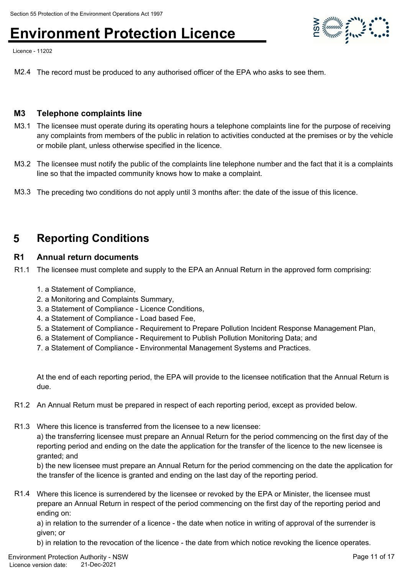Licence - 11202

M2.4 The record must be produced to any authorised officer of the EPA who asks to see them.

#### **M3 Telephone complaints line**

- M3.1 The licensee must operate during its operating hours a telephone complaints line for the purpose of receiving any complaints from members of the public in relation to activities conducted at the premises or by the vehicle or mobile plant, unless otherwise specified in the licence.
- M3.2 The licensee must notify the public of the complaints line telephone number and the fact that it is a complaints line so that the impacted community knows how to make a complaint.
- M3.3 The preceding two conditions do not apply until 3 months after: the date of the issue of this licence.

### **5 Reporting Conditions**

#### **R1 Annual return documents**

- R1.1 The licensee must complete and supply to the EPA an Annual Return in the approved form comprising:
	- 1. a Statement of Compliance,
	- 2. a Monitoring and Complaints Summary,
	- 3. a Statement of Compliance Licence Conditions,
	- 4. a Statement of Compliance Load based Fee,
	- 5. a Statement of Compliance Requirement to Prepare Pollution Incident Response Management Plan,
	- 6. a Statement of Compliance Requirement to Publish Pollution Monitoring Data; and
	- 7. a Statement of Compliance Environmental Management Systems and Practices.

At the end of each reporting period, the EPA will provide to the licensee notification that the Annual Return is due.

- R1.2 An Annual Return must be prepared in respect of each reporting period, except as provided below.
- R1.3 Where this licence is transferred from the licensee to a new licensee:

a) the transferring licensee must prepare an Annual Return for the period commencing on the first day of the reporting period and ending on the date the application for the transfer of the licence to the new licensee is granted; and

b) the new licensee must prepare an Annual Return for the period commencing on the date the application for the transfer of the licence is granted and ending on the last day of the reporting period.

R1.4 Where this licence is surrendered by the licensee or revoked by the EPA or Minister, the licensee must prepare an Annual Return in respect of the period commencing on the first day of the reporting period and ending on:

a) in relation to the surrender of a licence - the date when notice in writing of approval of the surrender is given; or

b) in relation to the revocation of the licence - the date from which notice revoking the licence operates.

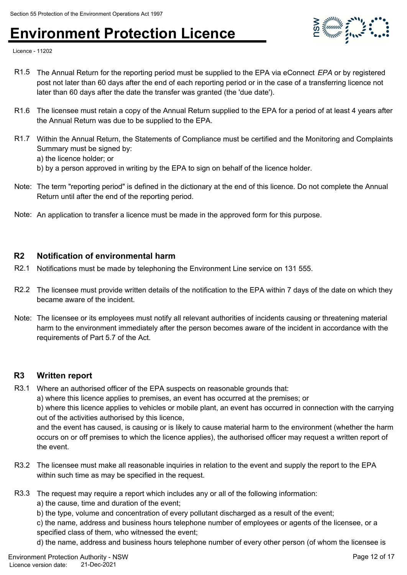

Licence - 11202

- R1.5 The Annual Return for the reporting period must be supplied to the EPA via eConnect *EPA* or by registered post not later than 60 days after the end of each reporting period or in the case of a transferring licence not later than 60 days after the date the transfer was granted (the 'due date').
- R1.6 The licensee must retain a copy of the Annual Return supplied to the EPA for a period of at least 4 years after the Annual Return was due to be supplied to the EPA.
- R1.7 Within the Annual Return, the Statements of Compliance must be certified and the Monitoring and Complaints Summary must be signed by:
	- a) the licence holder; or
	- b) by a person approved in writing by the EPA to sign on behalf of the licence holder.
- Note: The term "reporting period" is defined in the dictionary at the end of this licence. Do not complete the Annual Return until after the end of the reporting period.
- Note: An application to transfer a licence must be made in the approved form for this purpose.

#### **R2 Notification of environmental harm**

- R2.1 Notifications must be made by telephoning the Environment Line service on 131 555.
- R2.2 The licensee must provide written details of the notification to the EPA within 7 days of the date on which they became aware of the incident.
- Note: The licensee or its employees must notify all relevant authorities of incidents causing or threatening material harm to the environment immediately after the person becomes aware of the incident in accordance with the requirements of Part 5.7 of the Act.

#### **R3 Written report**

R3.1 Where an authorised officer of the EPA suspects on reasonable grounds that:

a) where this licence applies to premises, an event has occurred at the premises; or

b) where this licence applies to vehicles or mobile plant, an event has occurred in connection with the carrying out of the activities authorised by this licence,

and the event has caused, is causing or is likely to cause material harm to the environment (whether the harm occurs on or off premises to which the licence applies), the authorised officer may request a written report of the event.

- R3.2 The licensee must make all reasonable inquiries in relation to the event and supply the report to the EPA within such time as may be specified in the request.
- R3.3 The request may require a report which includes any or all of the following information:
	- a) the cause, time and duration of the event;
	- b) the type, volume and concentration of every pollutant discharged as a result of the event;

c) the name, address and business hours telephone number of employees or agents of the licensee, or a specified class of them, who witnessed the event;

d) the name, address and business hours telephone number of every other person (of whom the licensee is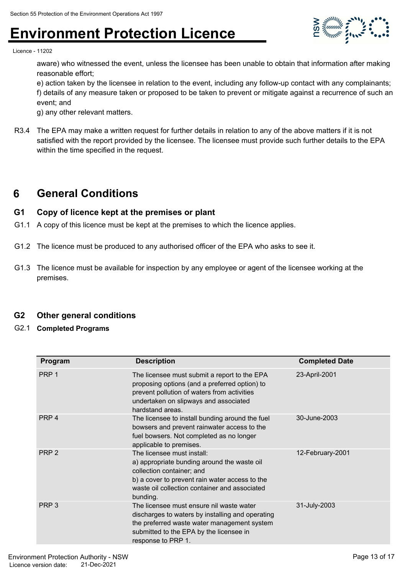

Licence - 11202

aware) who witnessed the event, unless the licensee has been unable to obtain that information after making reasonable effort;

e) action taken by the licensee in relation to the event, including any follow-up contact with any complainants; f) details of any measure taken or proposed to be taken to prevent or mitigate against a recurrence of such an event; and

g) any other relevant matters.

R3.4 The EPA may make a written request for further details in relation to any of the above matters if it is not satisfied with the report provided by the licensee. The licensee must provide such further details to the EPA within the time specified in the request.

### **6 General Conditions**

#### **G1 Copy of licence kept at the premises or plant**

- G1.1 A copy of this licence must be kept at the premises to which the licence applies.
- G1.2 The licence must be produced to any authorised officer of the EPA who asks to see it.
- G1.3 The licence must be available for inspection by any employee or agent of the licensee working at the premises.

#### **G2 Other general conditions**

G2.1 **Completed Programs**

| Program          | <b>Description</b>                                                                                                                                                                                                    | <b>Completed Date</b> |
|------------------|-----------------------------------------------------------------------------------------------------------------------------------------------------------------------------------------------------------------------|-----------------------|
| PRP <sub>1</sub> | The licensee must submit a report to the EPA<br>proposing options (and a preferred option) to<br>prevent pollution of waters from activities<br>undertaken on slipways and associated<br>hardstand areas.             | 23-April-2001         |
| PRP <sub>4</sub> | The licensee to install bunding around the fuel<br>bowsers and prevent rainwater access to the<br>fuel bowsers. Not completed as no longer<br>applicable to premises.                                                 | 30-June-2003          |
| PRP <sub>2</sub> | The licensee must install:<br>a) appropriate bunding around the waste oil<br>collection container; and<br>b) a cover to prevent rain water access to the<br>waste oil collection container and associated<br>bunding. | 12-February-2001      |
| PRP <sub>3</sub> | The licensee must ensure nil waste water<br>discharges to waters by installing and operating<br>the preferred waste water management system<br>submitted to the EPA by the licensee in<br>response to PRP 1.          | 31-July-2003          |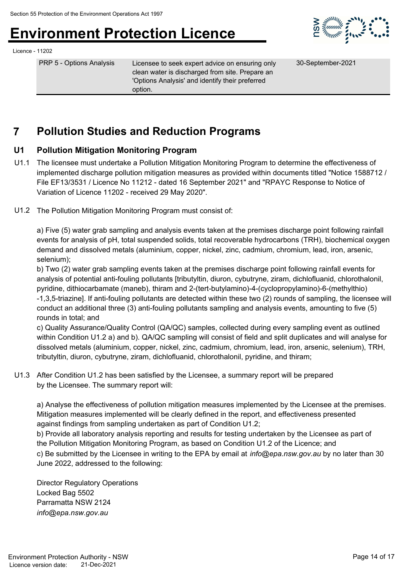

#### Licence - 11202

PRP 5 - Options Analysis Licensee to seek expert advice on ensuring only clean water is discharged from site. Prepare an 'Options Analysis' and identify their preferred option.

30-September-2021

### **7 Pollution Studies and Reduction Programs**

#### **U1 Pollution Mitigation Monitoring Program**

- U1.1 The licensee must undertake a Pollution Mitigation Monitoring Program to determine the effectiveness of implemented discharge pollution mitigation measures as provided within documents titled "Notice 1588712 / File EF13/3531 / Licence No 11212 - dated 16 September 2021" and "RPAYC Response to Notice of Variation of Licence 11202 - received 29 May 2020".
- U1.2 The Pollution Mitigation Monitoring Program must consist of:

a) Five (5) water grab sampling and analysis events taken at the premises discharge point following rainfall events for analysis of pH, total suspended solids, total recoverable hydrocarbons (TRH), biochemical oxygen demand and dissolved metals (aluminium, copper, nickel, zinc, cadmium, chromium, lead, iron, arsenic, selenium);

b) Two (2) water grab sampling events taken at the premises discharge point following rainfall events for analysis of potential anti-fouling pollutants [tributyltin, diuron, cybutryne, ziram, dichlofluanid, chlorothalonil, pyridine, dithiocarbamate (maneb), thiram and 2-(tert-butylamino)-4-(cyclopropylamino)-6-(methylthio) -1,3,5-triazine]. If anti-fouling pollutants are detected within these two (2) rounds of sampling, the licensee will conduct an additional three (3) anti-fouling pollutants sampling and analysis events, amounting to five (5) rounds in total; and

c) Quality Assurance/Quality Control (QA/QC) samples, collected during every sampling event as outlined within Condition U1.2 a) and b). QA/QC sampling will consist of field and split duplicates and will analyse for dissolved metals (aluminium, copper, nickel, zinc, cadmium, chromium, lead, iron, arsenic, selenium), TRH, tributyltin, diuron, cybutryne, ziram, dichlofluanid, chlorothalonil, pyridine, and thiram;

U1.3 After Condition U1.2 has been satisfied by the Licensee, a summary report will be prepared by the Licensee. The summary report will:

a) Analyse the effectiveness of pollution mitigation measures implemented by the Licensee at the premises. Mitigation measures implemented will be clearly defined in the report, and effectiveness presented against findings from sampling undertaken as part of Condition U1.2;

b) Provide all laboratory analysis reporting and results for testing undertaken by the Licensee as part of the Pollution Mitigation Monitoring Program, as based on Condition U1.2 of the Licence; and c) Be submitted by the Licensee in writing to the EPA by email at *info@epa.nsw.gov.au* by no later than 30 June 2022, addressed to the following:

Director Regulatory Operations Locked Bag 5502 Parramatta NSW 2124 *info@epa.nsw.gov.au*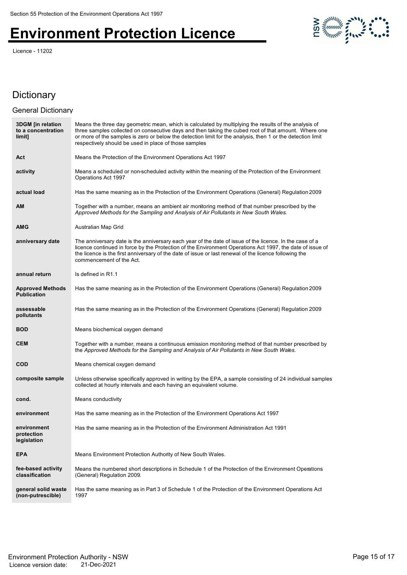Licence - 11202



#### **Dictionary**

#### **3DGM [in relation to a concentration limit]** Means the three day geometric mean, which is calculated by multiplying the results of the analysis of three samples collected on consecutive days and then taking the cubed root of that amount. Where one or more of the samples is zero or below the detection limit for the analysis, then 1 or the detection limit respectively should be used in place of those samples **Act** Means the Protection of the Environment Operations Act 1997 **activity** Means a scheduled or non-scheduled activity within the meaning of the Protection of the Environment Operations Act 1997 **actual load** Has the same meaning as in the Protection of the Environment Operations (General) Regulation 2009 **AM** Together with a number, means an ambient air monitoring method of that number prescribed by the *Approved Methods for the Sampling and Analysis of Air Pollutants in New South Wales*. **AMG** Australian Map Grid **anniversary date** The anniversary date is the anniversary each year of the date of issue of the licence. In the case of a licence continued in force by the Protection of the Environment Operations Act 1997, the date of issue of the licence is the first anniversary of the date of issue or last renewal of the licence following the commencement of the Act. **annual return** Is defined in R1.1 **Approved Methods Publication** Has the same meaning as in the Protection of the Environment Operations (General) Regulation 2009 **assessable pollutants** Has the same meaning as in the Protection of the Environment Operations (General) Regulation 2009 **BOD** Means biochemical oxygen demand **CEM** Together with a number, means a continuous emission monitoring method of that number prescribed by the *Approved Methods for the Sampling and Analysis of Air Pollutants in New South Wales*. **COD** Means chemical oxygen demand **composite sample** Unless otherwise specifically approved in writing by the EPA, a sample consisting of 24 individual samples collected at hourly intervals and each having an equivalent volume. **cond.** Means conductivity **environment** Has the same meaning as in the Protection of the Environment Operations Act 1997 **environment protection legislation** Has the same meaning as in the Protection of the Environment Administration Act 1991 **EPA** Means Environment Protection Authority of New South Wales. **fee-based activity classification** Means the numbered short descriptions in Schedule 1 of the Protection of the Environment Operations (General) Regulation 2009. **general solid waste (non-putrescible)** Has the same meaning as in Part 3 of Schedule 1 of the Protection of the Environment Operations Act 1997 General Dictionary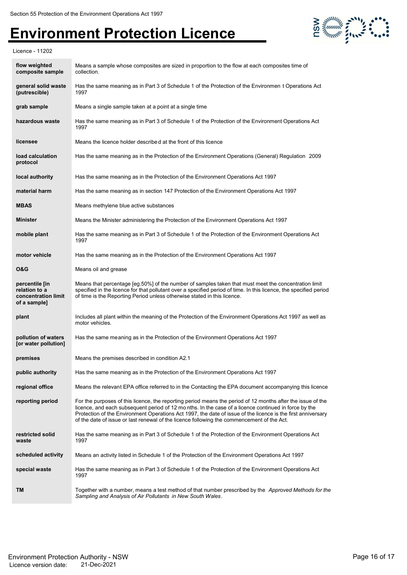

Licence - 11202

| flow weighted<br>composite sample                                      | Means a sample whose composites are sized in proportion to the flow at each composites time of<br>collection.                                                                                                                                                                                                                                                                                                                     |
|------------------------------------------------------------------------|-----------------------------------------------------------------------------------------------------------------------------------------------------------------------------------------------------------------------------------------------------------------------------------------------------------------------------------------------------------------------------------------------------------------------------------|
| general solid waste<br>(putrescible)                                   | Has the same meaning as in Part 3 of Schedule 1 of the Protection of the Environmen t Operations Act<br>1997                                                                                                                                                                                                                                                                                                                      |
| grab sample                                                            | Means a single sample taken at a point at a single time                                                                                                                                                                                                                                                                                                                                                                           |
| hazardous waste                                                        | Has the same meaning as in Part 3 of Schedule 1 of the Protection of the Environment Operations Act<br>1997                                                                                                                                                                                                                                                                                                                       |
| licensee                                                               | Means the licence holder described at the front of this licence                                                                                                                                                                                                                                                                                                                                                                   |
| load calculation<br>protocol                                           | Has the same meaning as in the Protection of the Environment Operations (General) Regulation 2009                                                                                                                                                                                                                                                                                                                                 |
| local authority                                                        | Has the same meaning as in the Protection of the Environment Operations Act 1997                                                                                                                                                                                                                                                                                                                                                  |
| material harm                                                          | Has the same meaning as in section 147 Protection of the Environment Operations Act 1997                                                                                                                                                                                                                                                                                                                                          |
| <b>MBAS</b>                                                            | Means methylene blue active substances                                                                                                                                                                                                                                                                                                                                                                                            |
| <b>Minister</b>                                                        | Means the Minister administering the Protection of the Environment Operations Act 1997                                                                                                                                                                                                                                                                                                                                            |
| mobile plant                                                           | Has the same meaning as in Part 3 of Schedule 1 of the Protection of the Environment Operations Act<br>1997                                                                                                                                                                                                                                                                                                                       |
| motor vehicle                                                          | Has the same meaning as in the Protection of the Environment Operations Act 1997                                                                                                                                                                                                                                                                                                                                                  |
| <b>O&amp;G</b>                                                         | Means oil and grease                                                                                                                                                                                                                                                                                                                                                                                                              |
| percentile [in<br>relation to a<br>concentration limit<br>of a sample] | Means that percentage [eg.50%] of the number of samples taken that must meet the concentration limit<br>specified in the licence for that pollutant over a specified period of time. In this licence, the specified period<br>of time is the Reporting Period unless otherwise stated in this licence.                                                                                                                            |
| plant                                                                  | Includes all plant within the meaning of the Protection of the Environment Operations Act 1997 as well as<br>motor vehicles.                                                                                                                                                                                                                                                                                                      |
| pollution of waters<br>[or water pollution]                            | Has the same meaning as in the Protection of the Environment Operations Act 1997                                                                                                                                                                                                                                                                                                                                                  |
| premises                                                               | Means the premises described in condition A2.1                                                                                                                                                                                                                                                                                                                                                                                    |
| public authority                                                       | Has the same meaning as in the Protection of the Environment Operations Act 1997                                                                                                                                                                                                                                                                                                                                                  |
| regional office                                                        | Means the relevant EPA office referred to in the Contacting the EPA document accompanying this licence                                                                                                                                                                                                                                                                                                                            |
| reporting period                                                       | For the purposes of this licence, the reporting period means the period of 12 months after the issue of the<br>licence, and each subsequent period of 12 months. In the case of a licence continued in force by the<br>Protection of the Environment Operations Act 1997, the date of issue of the licence is the first anniversary<br>of the date of issue or last renewal of the licence following the commencement of the Act. |
| restricted solid<br>waste                                              | Has the same meaning as in Part 3 of Schedule 1 of the Protection of the Environment Operations Act<br>1997                                                                                                                                                                                                                                                                                                                       |
| scheduled activity                                                     | Means an activity listed in Schedule 1 of the Protection of the Environment Operations Act 1997                                                                                                                                                                                                                                                                                                                                   |
| special waste                                                          | Has the same meaning as in Part 3 of Schedule 1 of the Protection of the Environment Operations Act<br>1997                                                                                                                                                                                                                                                                                                                       |
| TM                                                                     | Together with a number, means a test method of that number prescribed by the <i>Approved Methods for the</i><br>Sampling and Analysis of Air Pollutants in New South Wales.                                                                                                                                                                                                                                                       |